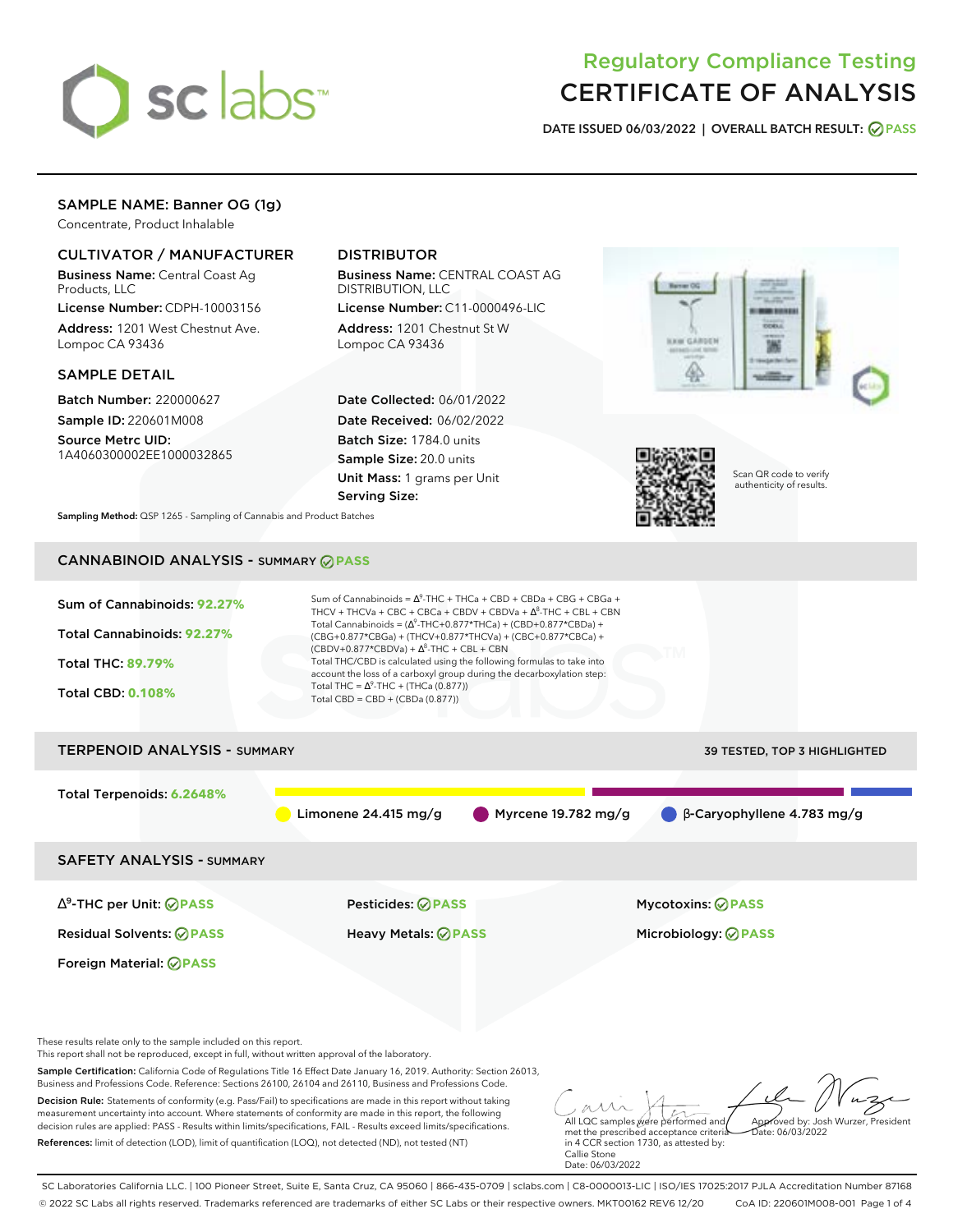

# Regulatory Compliance Testing CERTIFICATE OF ANALYSIS

**DATE ISSUED 06/03/2022 | OVERALL BATCH RESULT: PASS**

# SAMPLE NAME: Banner OG (1g)

Concentrate, Product Inhalable

## CULTIVATOR / MANUFACTURER

Business Name: Central Coast Ag Products, LLC

License Number: CDPH-10003156 Address: 1201 West Chestnut Ave. Lompoc CA 93436

### SAMPLE DETAIL

Batch Number: 220000627 Sample ID: 220601M008

Source Metrc UID: 1A4060300002EE1000032865

# DISTRIBUTOR

Business Name: CENTRAL COAST AG DISTRIBUTION, LLC

License Number: C11-0000496-LIC Address: 1201 Chestnut St W Lompoc CA 93436

Date Collected: 06/01/2022 Date Received: 06/02/2022 Batch Size: 1784.0 units Sample Size: 20.0 units Unit Mass: 1 grams per Unit Serving Size:





Scan QR code to verify authenticity of results.

**Sampling Method:** QSP 1265 - Sampling of Cannabis and Product Batches

# CANNABINOID ANALYSIS - SUMMARY **PASS**



References: limit of detection (LOD), limit of quantification (LOQ), not detected (ND), not tested (NT)

met the prescribed acceptance criteria in 4 CCR section 1730, as attested by: Callie Stone Date: 06/03/2022

SC Laboratories California LLC. | 100 Pioneer Street, Suite E, Santa Cruz, CA 95060 | 866-435-0709 | sclabs.com | C8-0000013-LIC | ISO/IES 17025:2017 PJLA Accreditation Number 87168 © 2022 SC Labs all rights reserved. Trademarks referenced are trademarks of either SC Labs or their respective owners. MKT00162 REV6 12/20 CoA ID: 220601M008-001 Page 1 of 4